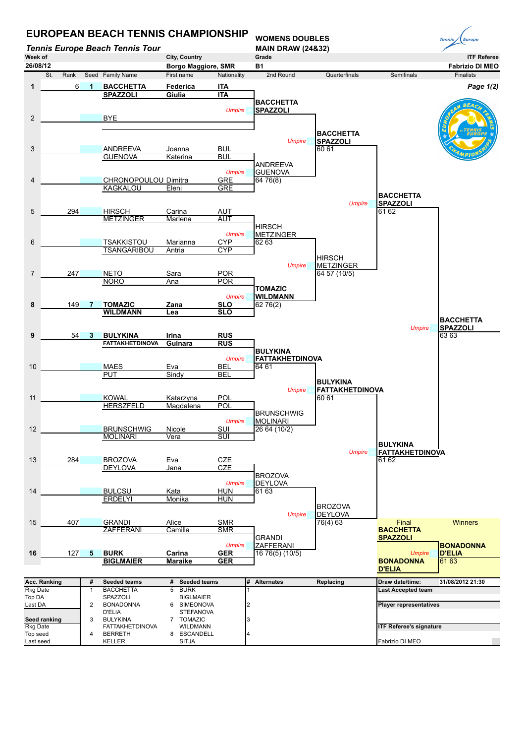